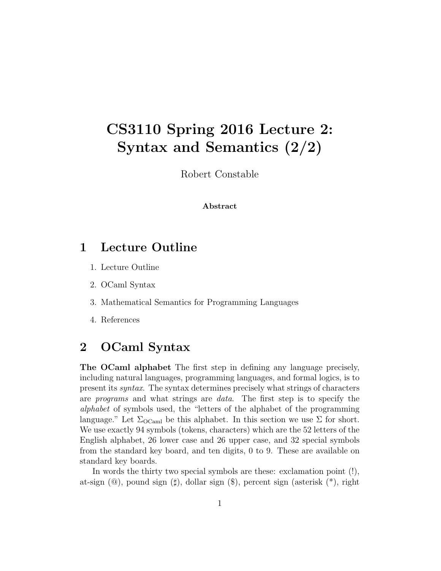# CS3110 Spring 2016 Lecture 2: Syntax and Semantics (2/2)

Robert Constable

#### Abstract

## 1 Lecture Outline

- 1. Lecture Outline
- 2. OCaml Syntax
- 3. Mathematical Semantics for Programming Languages
- 4. References

## 2 OCaml Syntax

The OCaml alphabet The first step in defining any language precisely, including natural languages, programming languages, and formal logics, is to present its syntax. The syntax determines precisely what strings of characters are programs and what strings are data. The first step is to specify the alphabet of symbols used, the "letters of the alphabet of the programming language." Let  $\Sigma_{\text{OCaml}}$  be this alphabet. In this section we use  $\Sigma$  for short. We use exactly 94 symbols (tokens, characters) which are the 52 letters of the English alphabet, 26 lower case and 26 upper case, and 32 special symbols from the standard key board, and ten digits, 0 to 9. These are available on standard key boards.

In words the thirty two special symbols are these: exclamation point (!), at-sign  $(\mathbb{Q})$ , pound sign  $(\sharp)$ , dollar sign  $(\$\)$ , percent sign (asterisk  $(*)$ , right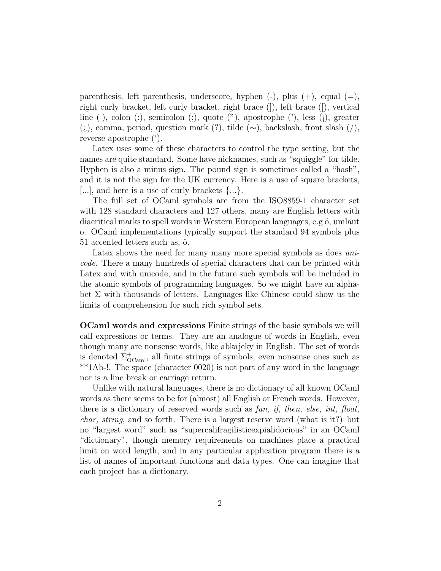parenthesis, left parenthesis, underscore, hyphen  $(-)$ , plus  $(+)$ , equal  $(=)$ , right curly bracket, left curly bracket, right brace (]), left brace ([), vertical line (|), colon (:), semicolon (;), quote ("), apostrophe ('), less (¡), greater (¿), comma, period, question mark (?), tilde (∼), backslash, front slash (/), reverse apostrophe (').

Latex uses some of these characters to control the type setting, but the names are quite standard. Some have nicknames, such as "squiggle" for tilde. Hyphen is also a minus sign. The pound sign is sometimes called a "hash", and it is not the sign for the UK currency. Here is a use of square brackets, [...], and here is a use of curly brackets  $\{\ldots\}$ .

The full set of OCaml symbols are from the ISO8859-1 character set with 128 standard characters and 127 others, many are English letters with diacritical marks to spell words in Western European languages, e.g ö, umlaut o. OCaml implementations typically support the standard 94 symbols plus  $51$  accented letters such as,  $\ddot{o}$ .

Latex shows the need for many many more special symbols as does *uni*code. There a many hundreds of special characters that can be printed with Latex and with unicode, and in the future such symbols will be included in the atomic symbols of programming languages. So we might have an alphabet  $\Sigma$  with thousands of letters. Languages like Chinese could show us the limits of comprehension for such rich symbol sets.

OCaml words and expressions Finite strings of the basic symbols we will call expressions or terms. They are an analogue of words in English, even though many are nonsense words, like abkajeky in English. The set of words is denoted  $\Sigma_{\text{OCaml}}^{+}$ , all finite strings of symbols, even nonsense ones such as \*\*1Ab-!. The space (character 0020) is not part of any word in the language nor is a line break or carriage return.

Unlike with natural languages, there is no dictionary of all known OCaml words as there seems to be for (almost) all English or French words. However, there is a dictionary of reserved words such as fun, if, then, else, int, float, *char, string*, and so forth. There is a largest reserve word (what is it?) but no "largest word" such as "supercalifragilisticexpialidocious" in an OCaml "dictionary", though memory requirements on machines place a practical limit on word length, and in any particular application program there is a list of names of important functions and data types. One can imagine that each project has a dictionary.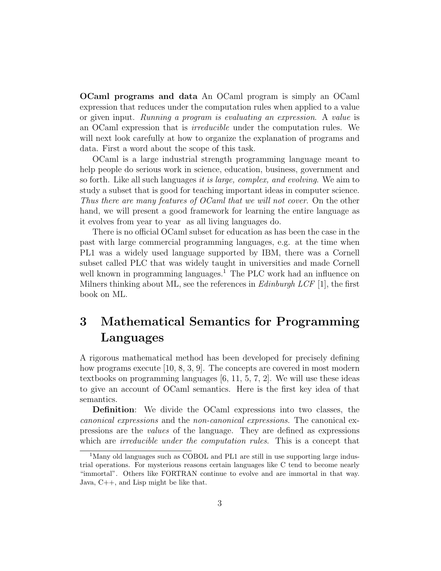OCaml programs and data An OCaml program is simply an OCaml expression that reduces under the computation rules when applied to a value or given input. Running a program is evaluating an expression. A value is an OCaml expression that is irreducible under the computation rules. We will next look carefully at how to organize the explanation of programs and data. First a word about the scope of this task.

OCaml is a large industrial strength programming language meant to help people do serious work in science, education, business, government and so forth. Like all such languages it is large, complex, and evolving. We aim to study a subset that is good for teaching important ideas in computer science. Thus there are many features of OCaml that we will not cover. On the other hand, we will present a good framework for learning the entire language as it evolves from year to year as all living languages do.

There is no official OCaml subset for education as has been the case in the past with large commercial programming languages, e.g. at the time when PL1 was a widely used language supported by IBM, there was a Cornell subset called PLC that was widely taught in universities and made Cornell well known in programming languages.<sup>1</sup> The PLC work had an influence on Milners thinking about ML, see the references in  $Edinburgh \ LCF$  [1], the first book on ML.

## 3 Mathematical Semantics for Programming Languages

A rigorous mathematical method has been developed for precisely defining how programs execute [10, 8, 3, 9]. The concepts are covered in most modern textbooks on programming languages [6, 11, 5, 7, 2]. We will use these ideas to give an account of OCaml semantics. Here is the first key idea of that semantics.

Definition: We divide the OCaml expressions into two classes, the canonical expressions and the non-canonical expressions. The canonical expressions are the values of the language. They are defined as expressions which are *irreducible under the computation rules*. This is a concept that

<sup>&</sup>lt;sup>1</sup>Many old languages such as COBOL and PL1 are still in use supporting large industrial operations. For mysterious reasons certain languages like C tend to become nearly "immortal". Others like FORTRAN continue to evolve and are immortal in that way. Java, C++, and Lisp might be like that.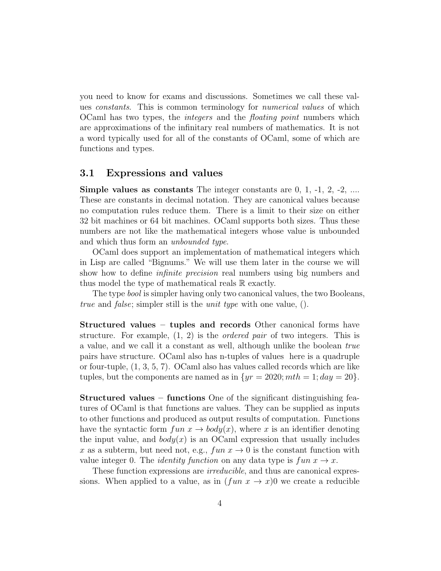you need to know for exams and discussions. Sometimes we call these values constants. This is common terminology for numerical values of which OCaml has two types, the integers and the floating point numbers which are approximations of the infinitary real numbers of mathematics. It is not a word typically used for all of the constants of OCaml, some of which are functions and types.

### 3.1 Expressions and values

**Simple values as constants** The integer constants are  $0, 1, -1, 2, -2, \ldots$ These are constants in decimal notation. They are canonical values because no computation rules reduce them. There is a limit to their size on either 32 bit machines or 64 bit machines. OCaml supports both sizes. Thus these numbers are not like the mathematical integers whose value is unbounded and which thus form an unbounded type.

OCaml does support an implementation of mathematical integers which in Lisp are called "Bignums." We will use them later in the course we will show how to define *infinite precision* real numbers using big numbers and thus model the type of mathematical reals R exactly.

The type bool is simpler having only two canonical values, the two Booleans, true and false; simpler still is the unit type with one value, ().

Structured values – tuples and records Other canonical forms have structure. For example,  $(1, 2)$  is the *ordered pair* of two integers. This is a value, and we call it a constant as well, although unlike the boolean true pairs have structure. OCaml also has n-tuples of values here is a quadruple or four-tuple, (1, 3, 5, 7). OCaml also has values called records which are like tuples, but the components are named as in  $\{yr = 2020; mth = 1; day = 20\}.$ 

Structured values – functions One of the significant distinguishing features of OCaml is that functions are values. They can be supplied as inputs to other functions and produced as output results of computation. Functions have the syntactic form  $fun\ x \to body(x)$ , where x is an identifier denoting the input value, and  $body(x)$  is an OCaml expression that usually includes x as a subterm, but need not, e.g.,  $fun\ x \to 0$  is the constant function with value integer 0. The *identity function* on any data type is  $fun x \rightarrow x$ .

These function expressions are *irreducible*, and thus are canonical expressions. When applied to a value, as in  $(\text{fun } x \to x)$  we create a reducible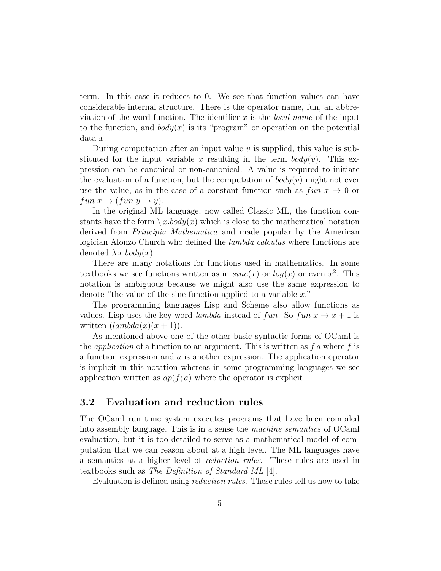term. In this case it reduces to 0. We see that function values can have considerable internal structure. There is the operator name, fun, an abbreviation of the word function. The identifier  $x$  is the *local name* of the input to the function, and  $body(x)$  is its "program" or operation on the potential data x.

During computation after an input value  $v$  is supplied, this value is substituted for the input variable x resulting in the term  $body(v)$ . This expression can be canonical or non-canonical. A value is required to initiate the evaluation of a function, but the computation of  $body(v)$  might not ever use the value, as in the case of a constant function such as  $fun x \to 0$  or  $fun x \rightarrow (fun y \rightarrow y).$ 

In the original ML language, now called Classic ML, the function constants have the form  $\langle x.body(x) \rangle$  which is close to the mathematical notation derived from Principia Mathematica and made popular by the American logician Alonzo Church who defined the lambda calculus where functions are denoted  $\lambda x.$ *body* $(x)$ .

There are many notations for functions used in mathematics. In some textbooks we see functions written as in  $sine(x)$  or  $log(x)$  or even  $x^2$ . This notation is ambiguous because we might also use the same expression to denote "the value of the sine function applied to a variable  $x$ ."

The programming languages Lisp and Scheme also allow functions as values. Lisp uses the key word *lambda* instead of fun. So fun  $x \to x + 1$  is written  $(lambda(x)(x+1))$ .

As mentioned above one of the other basic syntactic forms of OCaml is the *application* of a function to an argument. This is written as  $fa$  where  $f$  is a function expression and  $\alpha$  is another expression. The application operator is implicit in this notation whereas in some programming languages we see application written as  $ap(f; a)$  where the operator is explicit.

### 3.2 Evaluation and reduction rules

The OCaml run time system executes programs that have been compiled into assembly language. This is in a sense the machine semantics of OCaml evaluation, but it is too detailed to serve as a mathematical model of computation that we can reason about at a high level. The ML languages have a semantics at a higher level of reduction rules. These rules are used in textbooks such as The Definition of Standard ML [4].

Evaluation is defined using reduction rules. These rules tell us how to take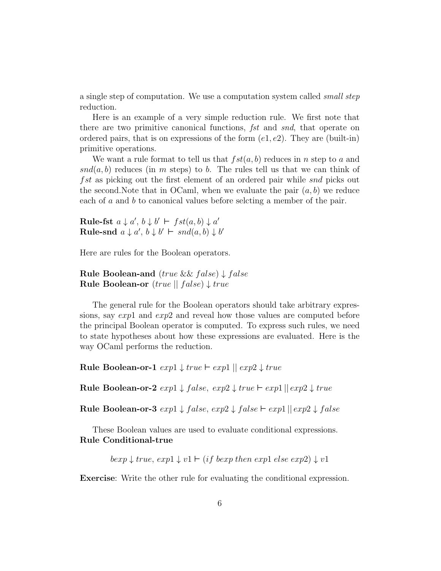a single step of computation. We use a computation system called small step reduction.

Here is an example of a very simple reduction rule. We first note that there are two primitive canonical functions, fst and snd, that operate on ordered pairs, that is on expressions of the form  $(e1, e2)$ . They are (built-in) primitive operations.

We want a rule format to tell us that  $fst(a, b)$  reduces in n step to a and  $snd(a, b)$  reduces (in m steps) to b. The rules tell us that we can think of fst as picking out the first element of an ordered pair while snd picks out the second. Note that in OCaml, when we evaluate the pair  $(a, b)$  we reduce each of a and b to canonical values before selcting a member of the pair.

Rule-fst  $a \downarrow a', b \downarrow b' \vdash fst(a, b) \downarrow a'$ Rule-snd  $a \downarrow a', b \downarrow b' \vdash \textit{snd}(a, b) \downarrow b'$ 

Here are rules for the Boolean operators.

Rule Boolean-and  $(true \&\& false) \downarrow false$ Rule Boolean-or  $(true || false) \downarrow true$ 

The general rule for the Boolean operators should take arbitrary expressions, say exp1 and exp2 and reveal how those values are computed before the principal Boolean operator is computed. To express such rules, we need to state hypotheses about how these expressions are evaluated. Here is the way OCaml performs the reduction.

Rule Boolean-or-1  $exp1 \downarrow true \vdash exp1 \parallel exp2 \downarrow true$ 

Rule Boolean-or-2  $exp1 \downarrow false$ ,  $exp2 \downarrow true \vdash exp1 || exp2 \downarrow true$ 

Rule Boolean-or-3  $exp1 \downarrow false$ ,  $exp2 \downarrow false$   $\vdash exp1 \parallel exp2 \downarrow false$ 

These Boolean values are used to evaluate conditional expressions. Rule Conditional-true

 $bexp \downarrow true$ ,  $exp1 \downarrow v1 \vdash (if bexp then exp1 else exp2) \downarrow v1$ 

Exercise: Write the other rule for evaluating the conditional expression.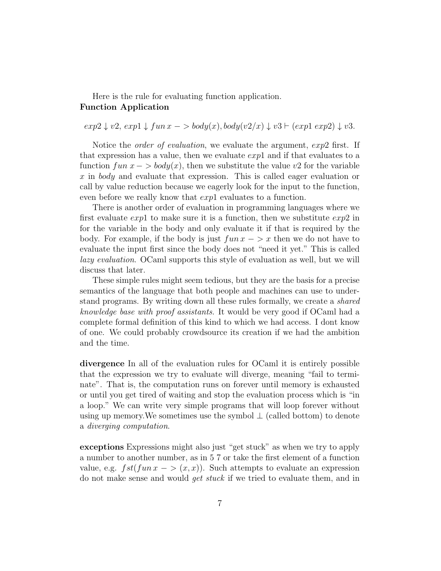### Here is the rule for evaluating function application. Function Application

 $exp2 \downarrow v2$ ,  $exp1 \downarrow fun x \rightarrow body(x)$ ,  $body(v2/x) \downarrow v3 \vdash (exp1 \exp2) \downarrow v3$ .

Notice the *order of evaluation*, we evaluate the argument,  $exp2$  first. If that expression has a value, then we evaluate  $exp1$  and if that evaluates to a function  $fun\ x - > **body**(x)$ , then we substitute the value v2 for the variable x in body and evaluate that expression. This is called eager evaluation or call by value reduction because we eagerly look for the input to the function, even before we really know that  $exp1$  evaluates to a function.

There is another order of evaluation in programming languages where we first evaluate  $exp1$  to make sure it is a function, then we substitute  $exp2$  in for the variable in the body and only evaluate it if that is required by the body. For example, if the body is just  $fun x - \geq x$  then we do not have to evaluate the input first since the body does not "need it yet." This is called lazy evaluation. OCaml supports this style of evaluation as well, but we will discuss that later.

These simple rules might seem tedious, but they are the basis for a precise semantics of the language that both people and machines can use to understand programs. By writing down all these rules formally, we create a shared knowledge base with proof assistants. It would be very good if OCaml had a complete formal definition of this kind to which we had access. I dont know of one. We could probably crowdsource its creation if we had the ambition and the time.

divergence In all of the evaluation rules for OCaml it is entirely possible that the expression we try to evaluate will diverge, meaning "fail to terminate". That is, the computation runs on forever until memory is exhausted or until you get tired of waiting and stop the evaluation process which is "in a loop." We can write very simple programs that will loop forever without using up memory. We sometimes use the symbol  $\perp$  (called bottom) to denote a diverging computation.

exceptions Expressions might also just "get stuck" as when we try to apply a number to another number, as in 5 7 or take the first element of a function value, e.g.  $fst(fun x - \gt (x, x))$ . Such attempts to evaluate an expression do not make sense and would get stuck if we tried to evaluate them, and in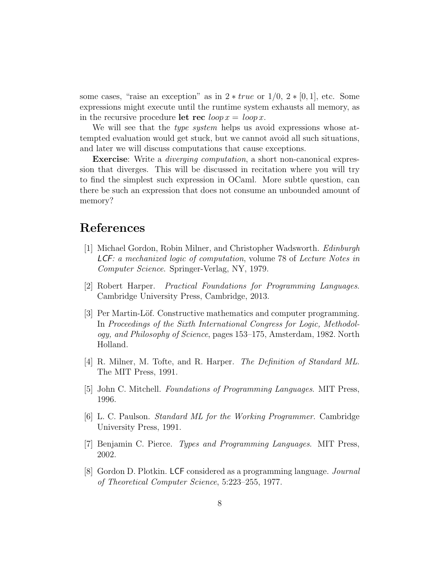some cases, "raise an exception" as in  $2 * true$  or  $1/0$ ,  $2 * [0, 1]$ , etc. Some expressions might execute until the runtime system exhausts all memory, as in the recursive procedure let rec  $\log x = \log x$ .

We will see that the *type system* helps us avoid expressions whose attempted evaluation would get stuck, but we cannot avoid all such situations, and later we will discuss computations that cause exceptions.

Exercise: Write a *diverging computation*, a short non-canonical expression that diverges. This will be discussed in recitation where you will try to find the simplest such expression in OCaml. More subtle question, can there be such an expression that does not consume an unbounded amount of memory?

## References

- [1] Michael Gordon, Robin Milner, and Christopher Wadsworth. Edinburgh LCF: a mechanized logic of computation, volume 78 of Lecture Notes in Computer Science. Springer-Verlag, NY, 1979.
- [2] Robert Harper. Practical Foundations for Programming Languages. Cambridge University Press, Cambridge, 2013.
- [3] Per Martin-Löf. Constructive mathematics and computer programming. In Proceedings of the Sixth International Congress for Logic, Methodology, and Philosophy of Science, pages 153–175, Amsterdam, 1982. North Holland.
- [4] R. Milner, M. Tofte, and R. Harper. The Definition of Standard ML. The MIT Press, 1991.
- [5] John C. Mitchell. Foundations of Programming Languages. MIT Press, 1996.
- [6] L. C. Paulson. Standard ML for the Working Programmer. Cambridge University Press, 1991.
- [7] Benjamin C. Pierce. Types and Programming Languages. MIT Press, 2002.
- [8] Gordon D. Plotkin. LCF considered as a programming language. Journal of Theoretical Computer Science, 5:223–255, 1977.